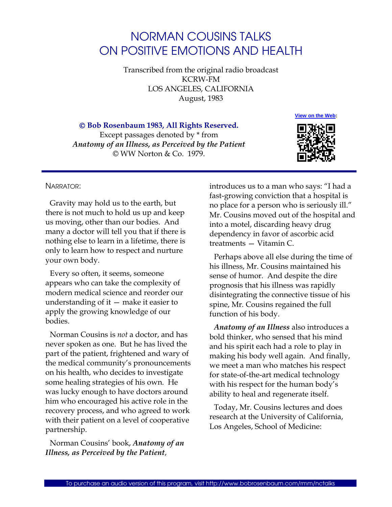# NORMAN COUSINS TALKS ON POSITIVE EMOTIONS AND HEALTH

Transcribed from the original radio broadcast KCRW-FM LOS ANGELES, CALIFORNIA August, 1983

 **Bob Rosenbaum 1983, All Rights Reserved.** 

Except passages denoted by \* from *Anatomy of an Illness, as Perceived by the Patient*  © WW Norton & Co. 1979.



## NARRATOR:

Gravity may hold us to the earth, but there is not much to hold us up and keep us moving, other than our bodies. And many a doctor will tell you that if there is nothing else to learn in a lifetime, there is only to learn how to respect and nurture your own body.

Every so often, it seems, someone appears who can take the complexity of modern medical science and reorder our understanding of it — make it easier to apply the growing knowledge of our bodies.

Norman Cousins is *not* a doctor, and has never spoken as one. But he has lived the part of the patient, frightened and wary of the medical community's pronouncements on his health, who decides to investigate some healing strategies of his own. He was lucky enough to have doctors around him who encouraged his active role in the recovery process, and who agreed to work with their patient on a level of cooperative partnership.

Norman Cousins' book, *Anatomy of an Illness, as Perceived by the Patient*,

introduces us to a man who says: "I had a fast-growing conviction that a hospital is no place for a person who is seriously ill." Mr. Cousins moved out of the hospital and into a motel, discarding heavy drug dependency in favor of ascorbic acid treatments — Vitamin C.

Perhaps above all else during the time of his illness, Mr. Cousins maintained his sense of humor. And despite the dire prognosis that his illness was rapidly disintegrating the connective tissue of his spine, Mr. Cousins regained the full function of his body.

*Anatomy of an Illness* also introduces a bold thinker, who sensed that his mind and his spirit each had a role to play in making his body well again. And finally, we meet a man who matches his respect for state-of-the-art medical technology with his respect for the human body's ability to heal and regenerate itself.

Today, Mr. Cousins lectures and does research at the University of California, Los Angeles, School of Medicine: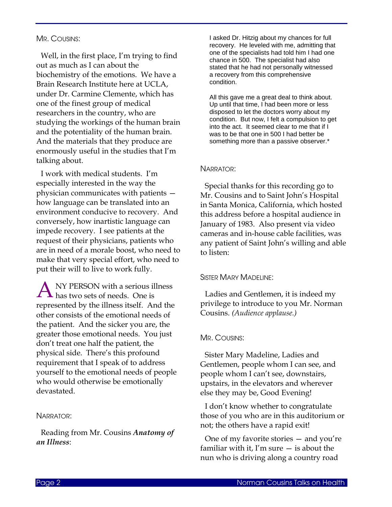## MR. COUSINS:

Well, in the first place, I'm trying to find out as much as I can about the biochemistry of the emotions. We have a Brain Research Institute here at UCLA, under Dr. Carmine Clemente, which has one of the finest group of medical researchers in the country, who are studying the workings of the human brain and the potentiality of the human brain. And the materials that they produce are enormously useful in the studies that I'm talking about.

I work with medical students. I'm especially interested in the way the physician communicates with patients how language can be translated into an environment conducive to recovery. And conversely, how inartistic language can impede recovery. I see patients at the request of their physicians, patients who are in need of a morale boost, who need to make that very special effort, who need to put their will to live to work fully.

NY PERSON with a serious illness A NY PERSON with a serious ill<br>has two sets of needs. One is represented by the illness itself. And the other consists of the emotional needs of the patient. And the sicker you are, the greater those emotional needs. You just don't treat one half the patient, the physical side. There's this profound requirement that I speak of to address yourself to the emotional needs of people who would otherwise be emotionally devastated.

## NARRATOR:

Reading from Mr. Cousins *Anatomy of an Illness*:

I asked Dr. Hitzig about my chances for full recovery. He leveled with me, admitting that one of the specialists had told him I had one chance in 500. The specialist had also stated that he had not personally witnessed a recovery from this comprehensive condition.

All this gave me a great deal to think about. Up until that time, I had been more or less disposed to let the doctors worry about my condition. But now, I felt a compulsion to get into the act. It seemed clear to me that if I was to be that one in 500 I had better be something more than a passive observer.\*

#### NARRATOR:

Special thanks for this recording go to Mr. Cousins and to Saint John's Hospital in Santa Monica, California, which hosted this address before a hospital audience in January of 1983. Also present via video cameras and in-house cable facilities, was any patient of Saint John's willing and able to listen:

## SISTER MARY MADELINE:

Ladies and Gentlemen, it is indeed my privilege to introduce to you Mr. Norman Cousins. *(Audience applause.)*

#### MR. COUSINS:

Sister Mary Madeline, Ladies and Gentlemen, people whom I can see, and people whom I can't see, downstairs, upstairs, in the elevators and wherever else they may be, Good Evening!

I don't know whether to congratulate those of you who are in this auditorium or not; the others have a rapid exit!

One of my favorite stories — and you're familiar with it, I'm sure  $-$  is about the nun who is driving along a country road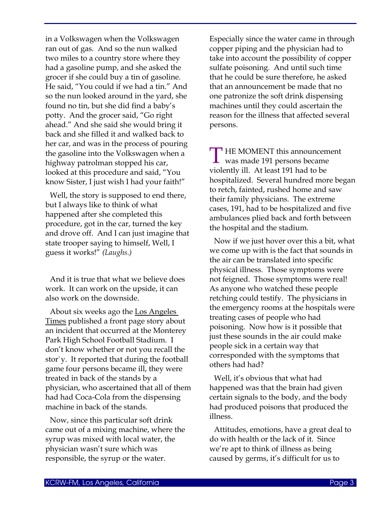in a Volkswagen when the Volkswagen ran out of gas. And so the nun walked two miles to a country store where they had a gasoline pump, and she asked the grocer if she could buy a tin of gasoline. He said, "You could if we had a tin." And so the nun looked around in the yard, she found no tin, but she did find a baby's potty. And the grocer said, "Go right ahead." And she said she would bring it back and she filled it and walked back to her car, and was in the process of pouring the gasoline into the Volkswagen when a highway patrolman stopped his car, looked at this procedure and said, "You know Sister, I just wish I had your faith!"

Well, the story is supposed to end there, but I always like to think of what happened after she completed this procedure, got in the car, turned the key and drove off. And I can just imagine that state trooper saying to himself, Well, I guess it works!" *(Laughs.)*

And it is true that what we believe does work. It can work on the upside, it can also work on the downside.

About six weeks ago the Los Angeles Times published a front page story about an incident that occurred at the Monterey Park High School Football Stadium. I don't know whether or not you recall the stor`y. It reported that during the football game four persons became ill, they were treated in back of the stands by a physician, who ascertained that all of them had had Coca-Cola from the dispensing machine in back of the stands.

Now, since this particular soft drink came out of a mixing machine, where the syrup was mixed with local water, the physician wasn't sure which was responsible, the syrup or the water.

Especially since the water came in through copper piping and the physician had to take into account the possibility of copper sulfate poisoning. And until such time that he could be sure therefore, he asked that an announcement be made that no one patronize the soft drink dispensing machines until they could ascertain the reason for the illness that affected several persons.

THE MOMENT this announcement<br>was made 191 persons became was made 191 persons became violently ill. At least 191 had to be hospitalized. Several hundred more began to retch, fainted, rushed home and saw their family physicians. The extreme cases, 191, had to be hospitalized and five ambulances plied back and forth between the hospital and the stadium.

Now if we just hover over this a bit, what we come up with is the fact that sounds in the air can be translated into specific physical illness. Those symptoms were not feigned. Those symptoms were real! As anyone who watched these people retching could testify. The physicians in the emergency rooms at the hospitals were treating cases of people who had poisoning. Now how is it possible that just these sounds in the air could make people sick in a certain way that corresponded with the symptoms that others had had?

Well, it's obvious that what had happened was that the brain had given certain signals to the body, and the body had produced poisons that produced the illness.

Attitudes, emotions, have a great deal to do with health or the lack of it. Since we're apt to think of illness as being caused by germs, it's difficult for us to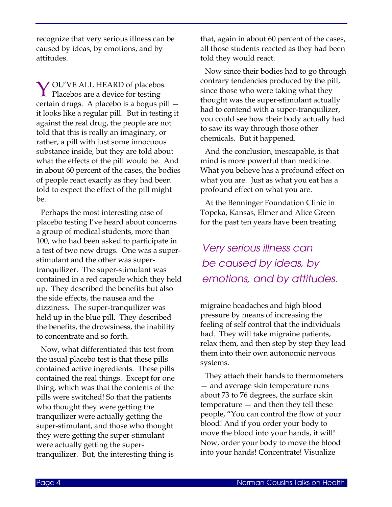recognize that very serious illness can be caused by ideas, by emotions, and by attitudes.

Y OU'VE ALL HEARD of placebos.<br>Placebos are a device for testing  $\perp$  Placebos are a device for testing certain drugs. A placebo is a bogus pill it looks like a regular pill. But in testing it against the real drug, the people are not told that this is really an imaginary, or rather, a pill with just some innocuous substance inside, but they are told about what the effects of the pill would be. And in about 60 percent of the cases, the bodies of people react exactly as they had been told to expect the effect of the pill might be.

Perhaps the most interesting case of placebo testing I've heard about concerns a group of medical students, more than 100, who had been asked to participate in a test of two new drugs. One was a superstimulant and the other was supertranquilizer. The super-stimulant was contained in a red capsule which they held up. They described the benefits but also the side effects, the nausea and the dizziness. The super-tranquilizer was held up in the blue pill. They described the benefits, the drowsiness, the inability to concentrate and so forth.

Now, what differentiated this test from the usual placebo test is that these pills contained active ingredients. These pills contained the real things. Except for one thing, which was that the contents of the pills were switched! So that the patients who thought they were getting the tranquilizer were actually getting the super-stimulant, and those who thought they were getting the super-stimulant were actually getting the supertranquilizer. But, the interesting thing is

that, again in about 60 percent of the cases, all those students reacted as they had been told they would react.

Now since their bodies had to go through contrary tendencies produced by the pill, since those who were taking what they thought was the super-stimulant actually had to contend with a super-tranquilizer, you could see how their body actually had to saw its way through those other chemicals. But it happened.

And the conclusion, inescapable, is that mind is more powerful than medicine. What you believe has a profound effect on what you are. Just as what you eat has a profound effect on what you are.

At the Benninger Foundation Clinic in Topeka, Kansas, Elmer and Alice Green for the past ten years have been treating

*Very serious illness can be caused by ideas, by emotions, and by attitudes.* 

migraine headaches and high blood pressure by means of increasing the feeling of self control that the individuals had. They will take migraine patients, relax them, and then step by step they lead them into their own autonomic nervous systems.

They attach their hands to thermometers — and average skin temperature runs about 73 to 76 degrees, the surface skin temperature — and then they tell these people, "You can control the flow of your blood! And if you order your body to move the blood into your hands, it will! Now, order your body to move the blood into your hands! Concentrate! Visualize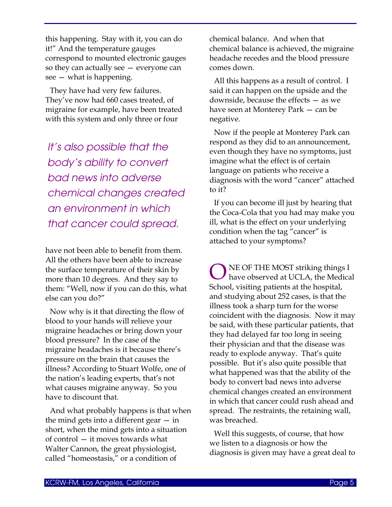this happening. Stay with it, you can do it!" And the temperature gauges correspond to mounted electronic gauges so they can actually see — everyone can see — what is happening.

They have had very few failures. They've now had 660 cases treated, of migraine for example, have been treated with this system and only three or four

*It's also possible that the body's ability to convert bad news into adverse chemical changes created an environment in which that cancer could spread.* 

have not been able to benefit from them. All the others have been able to increase the surface temperature of their skin by more than 10 degrees. And they say to them: "Well, now if you can do this, what else can you do?"

Now why is it that directing the flow of blood to your hands will relieve your migraine headaches or bring down your blood pressure? In the case of the migraine headaches is it because there's pressure on the brain that causes the illness? According to Stuart Wolfe, one of the nation's leading experts, that's not what causes migraine anyway. So you have to discount that.

And what probably happens is that when the mind gets into a different gear — in short, when the mind gets into a situation of control — it moves towards what Walter Cannon, the great physiologist, called "homeostasis," or a condition of

chemical balance. And when that chemical balance is achieved, the migraine headache recedes and the blood pressure comes down.

All this happens as a result of control. I said it can happen on the upside and the downside, because the effects — as we have seen at Monterey Park — can be negative.

Now if the people at Monterey Park can respond as they did to an announcement, even though they have no symptoms, just imagine what the effect is of certain language on patients who receive a diagnosis with the word "cancer" attached to it?

If you can become ill just by hearing that the Coca-Cola that you had may make you ill, what is the effect on your underlying condition when the tag "cancer" is attached to your symptoms?

NE OF THE MOST striking things I have observed at UCLA, the Medical School, visiting patients at the hospital, and studying about 252 cases, is that the illness took a sharp turn for the worse coincident with the diagnosis. Now it may be said, with these particular patients, that they had delayed far too long in seeing their physician and that the disease was ready to explode anyway. That's quite possible. But it's also quite possible that what happened was that the ability of the body to convert bad news into adverse chemical changes created an environment in which that cancer could rush ahead and spread. The restraints, the retaining wall, was breached. O

Well this suggests, of course, that how we listen to a diagnosis or how the diagnosis is given may have a great deal to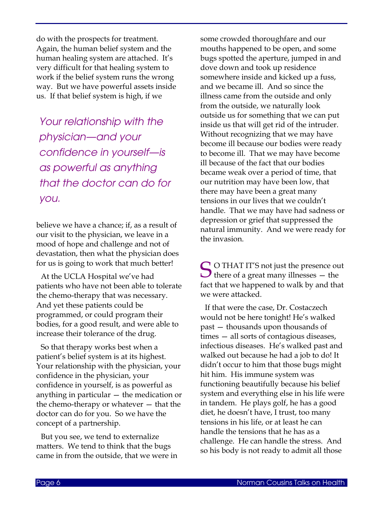do with the prospects for treatment. Again, the human belief system and the human healing system are attached. It's very difficult for that healing system to work if the belief system runs the wrong way. But we have powerful assets inside us. If that belief system is high, if we

*Your relationship with the physician—and your confidence in yourself—is as powerful as anything that the doctor can do for you.*

believe we have a chance; if, as a result of our visit to the physician, we leave in a mood of hope and challenge and not of devastation, then what the physician does for us is going to work that much better!

At the UCLA Hospital we've had patients who have not been able to tolerate the chemo-therapy that was necessary. And yet these patients could be programmed, or could program their bodies, for a good result, and were able to increase their tolerance of the drug.

So that therapy works best when a patient's belief system is at its highest. Your relationship with the physician, your confidence in the physician, your confidence in yourself, is as powerful as anything in particular — the medication or the chemo-therapy or whatever — that the doctor can do for you. So we have the concept of a partnership.

But you see, we tend to externalize matters. We tend to think that the bugs came in from the outside, that we were in some crowded thoroughfare and our mouths happened to be open, and some bugs spotted the aperture, jumped in and dove down and took up residence somewhere inside and kicked up a fuss, and we became ill. And so since the illness came from the outside and only from the outside, we naturally look outside us for something that we can put inside us that will get rid of the intruder. Without recognizing that we may have become ill because our bodies were ready to become ill. That we may have become ill because of the fact that our bodies became weak over a period of time, that our nutrition may have been low, that there may have been a great many tensions in our lives that we couldn't handle. That we may have had sadness or depression or grief that suppressed the natural immunity. And we were ready for the invasion.

S O THAT IT'S not just the presence out<br>there of a great many illnesses — the  $\bigcup$  there of a great many illnesses  $-$  the fact that we happened to walk by and that we were attacked.

If that were the case, Dr. Costaczech would not be here tonight! He's walked past — thousands upon thousands of times — all sorts of contagious diseases, infectious diseases. He's walked past and walked out because he had a job to do! It didn't occur to him that those bugs might hit him. His immune system was functioning beautifully because his belief system and everything else in his life were in tandem. He plays golf, he has a good diet, he doesn't have, I trust, too many tensions in his life, or at least he can handle the tensions that he has as a challenge. He can handle the stress. And so his body is not ready to admit all those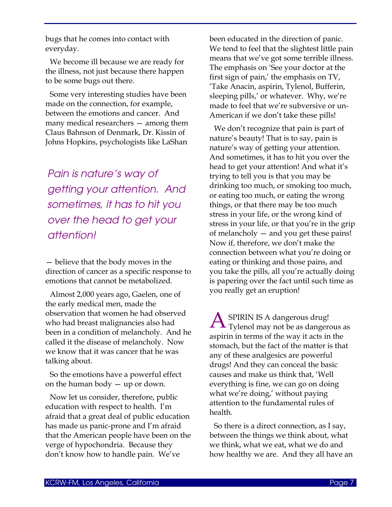bugs that he comes into contact with everyday.

We become ill because we are ready for the illness, not just because there happen to be some bugs out there.

Some very interesting studies have been made on the connection, for example, between the emotions and cancer. And many medical researchers — among them Claus Bahnson of Denmark, Dr. Kissin of Johns Hopkins, psychologists like LaShan

*Pain is nature's way of getting your attention. And sometimes, it has to hit you over the head to get your attention!*

— believe that the body moves in the direction of cancer as a specific response to emotions that cannot be metabolized.

Almost 2,000 years ago, Gaelen, one of the early medical men, made the observation that women he had observed who had breast malignancies also had been in a condition of melancholy. And he called it the disease of melancholy. Now we know that it was cancer that he was talking about.

So the emotions have a powerful effect on the human body — up or down.

Now let us consider, therefore, public education with respect to health. I'm afraid that a great deal of public education has made us panic-prone and I'm afraid that the American people have been on the verge of hypochondria. Because they don't know how to handle pain. We've

been educated in the direction of panic. We tend to feel that the slightest little pain means that we've got some terrible illness. The emphasis on 'See your doctor at the first sign of pain,' the emphasis on TV, 'Take Anacin, aspirin, Tylenol, Bufferin, sleeping pills,' or whatever. Why, we're made to feel that we're subversive or un-American if we don't take these pills!

We don't recognize that pain is part of nature's beauty! That is to say, pain is nature's way of getting your attention. And sometimes, it has to hit you over the head to get your attention! And what it's trying to tell you is that you may be drinking too much, or smoking too much, or eating too much, or eating the wrong things, or that there may be too much stress in your life, or the wrong kind of stress in your life, or that you're in the grip of melancholy — and you get these pains! Now if, therefore, we don't make the connection between what you're doing or eating or thinking and those pains, and you take the pills, all you're actually doing is papering over the fact until such time as you really get an eruption!

SPIRIN IS A dangerous drug! **A** SPIRIN IS A dangerous drug!<br>Tylenol may not be as dangerous as aspirin in terms of the way it acts in the stomach, but the fact of the matter is that any of these analgesics are powerful drugs! And they can conceal the basic causes and make us think that, 'Well everything is fine, we can go on doing what we're doing,' without paying attention to the fundamental rules of health.

So there is a direct connection, as I say, between the things we think about, what we think, what we eat, what we do and how healthy we are. And they all have an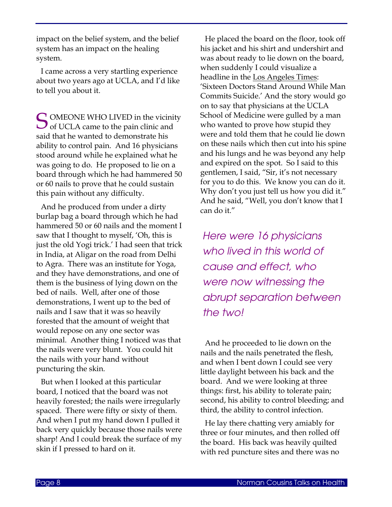impact on the belief system, and the belief system has an impact on the healing system.

I came across a very startling experience about two years ago at UCLA, and I'd like to tell you about it.

OMEONE WHO LIVED in the vicinity S OMEONE WHO LIVED in the vicinity of UCLA came to the pain clinic and said that he wanted to demonstrate his ability to control pain. And 16 physicians stood around while he explained what he was going to do. He proposed to lie on a board through which he had hammered 50 or 60 nails to prove that he could sustain this pain without any difficulty.

And he produced from under a dirty burlap bag a board through which he had hammered 50 or 60 nails and the moment I saw that I thought to myself, 'Oh, this is just the old Yogi trick.' I had seen that trick in India, at Aligar on the road from Delhi to Agra. There was an institute for Yoga, and they have demonstrations, and one of them is the business of lying down on the bed of nails. Well, after one of those demonstrations, I went up to the bed of nails and I saw that it was so heavily forested that the amount of weight that would repose on any one sector was minimal. Another thing I noticed was that the nails were very blunt. You could hit the nails with your hand without puncturing the skin.

But when I looked at this particular board, I noticed that the board was not heavily forested; the nails were irregularly spaced. There were fifty or sixty of them. And when I put my hand down I pulled it back very quickly because those nails were sharp! And I could break the surface of my skin if I pressed to hard on it.

He placed the board on the floor, took off his jacket and his shirt and undershirt and was about ready to lie down on the board, when suddenly I could visualize a headline in the Los Angeles Times: 'Sixteen Doctors Stand Around While Man Commits Suicide.' And the story would go on to say that physicians at the UCLA School of Medicine were gulled by a man who wanted to prove how stupid they were and told them that he could lie down on these nails which then cut into his spine and his lungs and he was beyond any help and expired on the spot. So I said to this gentlemen, I said, "Sir, it's not necessary for you to do this. We know you can do it. Why don't you just tell us how you did it." And he said, "Well, you don't know that I can do it."

*Here were 16 physicians who lived in this world of cause and effect, who were now witnessing the abrupt separation between the two!*

And he proceeded to lie down on the nails and the nails penetrated the flesh, and when I bent down I could see very little daylight between his back and the board. And we were looking at three things: first, his ability to tolerate pain; second, his ability to control bleeding; and third, the ability to control infection.

He lay there chatting very amiably for three or four minutes, and then rolled off the board. His back was heavily quilted with red puncture sites and there was no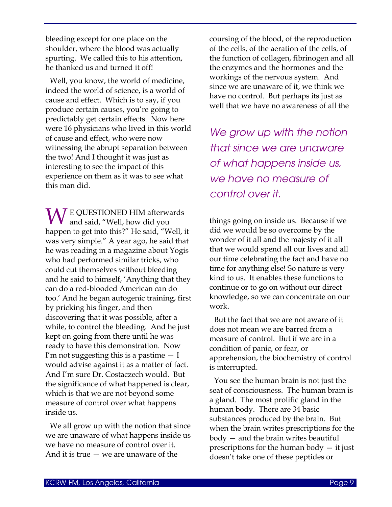bleeding except for one place on the shoulder, where the blood was actually spurting. We called this to his attention, he thanked us and turned it off!

Well, you know, the world of medicine, indeed the world of science, is a world of cause and effect. Which is to say, if you produce certain causes, you're going to predictably get certain effects. Now here were 16 physicians who lived in this world of cause and effect, who were now witnessing the abrupt separation between the two! And I thought it was just as interesting to see the impact of this experience on them as it was to see what this man did.

**W** E QUESTIONED HIM afterwards<br>and said, "Well, how did you and said, "Well, how did you happen to get into this?" He said, "Well, it was very simple." A year ago, he said that he was reading in a magazine about Yogis who had performed similar tricks, who could cut themselves without bleeding and he said to himself, 'Anything that they can do a red-blooded American can do too.' And he began autogenic training, first by pricking his finger, and then discovering that it was possible, after a while, to control the bleeding. And he just kept on going from there until he was ready to have this demonstration. Now I'm not suggesting this is a pastime  $-1$ would advise against it as a matter of fact. And I'm sure Dr. Costaczech would. But the significance of what happened is clear, which is that we are not beyond some measure of control over what happens inside us.

We all grow up with the notion that since we are unaware of what happens inside us we have no measure of control over it. And it is true — we are unaware of the

coursing of the blood, of the reproduction of the cells, of the aeration of the cells, of the function of collagen, fibrinogen and all the enzymes and the hormones and the workings of the nervous system. And since we are unaware of it, we think we have no control. But perhaps its just as well that we have no awareness of all the

*We grow up with the notion that since we are unaware of what happens inside us, we have no measure of control over it.*

things going on inside us. Because if we did we would be so overcome by the wonder of it all and the majesty of it all that we would spend all our lives and all our time celebrating the fact and have no time for anything else! So nature is very kind to us. It enables these functions to continue or to go on without our direct knowledge, so we can concentrate on our work.

But the fact that we are not aware of it does not mean we are barred from a measure of control. But if we are in a condition of panic, or fear, or apprehension, the biochemistry of control is interrupted.

You see the human brain is not just the seat of consciousness. The human brain is a gland. The most prolific gland in the human body. There are 34 basic substances produced by the brain. But when the brain writes prescriptions for the body — and the brain writes beautiful prescriptions for the human body — it just doesn't take one of these peptides or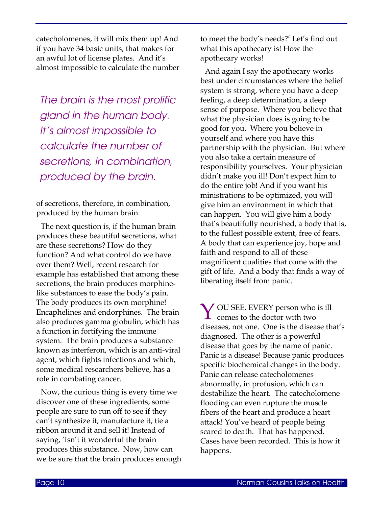catecholomenes, it will mix them up! And if you have 34 basic units, that makes for an awful lot of license plates. And it's almost impossible to calculate the number

*The brain is the most prolific gland in the human body. It's almost impossible to calculate the number of secretions, in combination, produced by the brain.*

of secretions, therefore, in combination, produced by the human brain.

The next question is, if the human brain produces these beautiful secretions, what are these secretions? How do they function? And what control do we have over them? Well, recent research for example has established that among these secretions, the brain produces morphinelike substances to ease the body's pain. The body produces its own morphine! Encaphelines and endorphines. The brain also produces gamma globulin, which has a function in fortifying the immune system. The brain produces a substance known as interferon, which is an anti-viral agent, which fights infections and which, some medical researchers believe, has a role in combating cancer.

Now, the curious thing is every time we discover one of these ingredients, some people are sure to run off to see if they can't synthesize it, manufacture it, tie a ribbon around it and sell it! Instead of saying, 'Isn't it wonderful the brain produces this substance. Now, how can we be sure that the brain produces enough to meet the body's needs?' Let's find out what this apothecary is! How the apothecary works!

And again I say the apothecary works best under circumstances where the belief system is strong, where you have a deep feeling, a deep determination, a deep sense of purpose. Where you believe that what the physician does is going to be good for you. Where you believe in yourself and where you have this partnership with the physician. But where you also take a certain measure of responsibility yourselves. Your physician didn't make you ill! Don't expect him to do the entire job! And if you want his ministrations to be optimized, you will give him an environment in which that can happen. You will give him a body that's beautifully nourished, a body that is, to the fullest possible extent, free of fears. A body that can experience joy, hope and faith and respond to all of these magnificent qualities that come with the gift of life. And a body that finds a way of liberating itself from panic.

Y OU SEE, EVERY person who is ill<br>comes to the doctor with two comes to the doctor with two diseases, not one. One is the disease that's diagnosed. The other is a powerful disease that goes by the name of panic. Panic is a disease! Because panic produces specific biochemical changes in the body. Panic can release catecholomenes abnormally, in profusion, which can destabilize the heart. The catecholomene flooding can even rupture the muscle fibers of the heart and produce a heart attack! You've heard of people being scared to death. That has happened. Cases have been recorded. This is how it happens.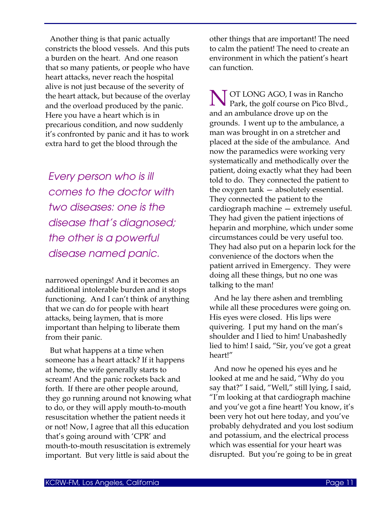Another thing is that panic actually constricts the blood vessels. And this puts a burden on the heart. And one reason that so many patients, or people who have heart attacks, never reach the hospital alive is not just because of the severity of the heart attack, but because of the overlay and the overload produced by the panic. Here you have a heart which is in precarious condition, and now suddenly it's confronted by panic and it has to work extra hard to get the blood through the

*Every person who is ill comes to the doctor with two diseases: one is the disease that's diagnosed; the other is a powerful disease named panic.*

narrowed openings! And it becomes an additional intolerable burden and it stops functioning. And I can't think of anything that we can do for people with heart attacks, being laymen, that is more important than helping to liberate them from their panic.

But what happens at a time when someone has a heart attack? If it happens at home, the wife generally starts to scream! And the panic rockets back and forth. If there are other people around, they go running around not knowing what to do, or they will apply mouth-to-mouth resuscitation whether the patient needs it or not! Now, I agree that all this education that's going around with 'CPR' and mouth-to-mouth resuscitation is extremely important. But very little is said about the

other things that are important! The need to calm the patient! The need to create an environment in which the patient's heart can function.

N OT LONG AGO, I was in Rancho<br>Park, the golf course on Pico Blvd. Park, the golf course on Pico Blvd., and an ambulance drove up on the grounds. I went up to the ambulance, a man was brought in on a stretcher and placed at the side of the ambulance. And now the paramedics were working very systematically and methodically over the patient, doing exactly what they had been told to do. They connected the patient to the oxygen tank — absolutely essential. They connected the patient to the cardiograph machine — extremely useful. They had given the patient injections of heparin and morphine, which under some circumstances could be very useful too. They had also put on a heparin lock for the convenience of the doctors when the patient arrived in Emergency. They were doing all these things, but no one was talking to the man!

And he lay there ashen and trembling while all these procedures were going on. His eyes were closed. His lips were quivering. I put my hand on the man's shoulder and I lied to him! Unabashedly lied to him! I said, "Sir, you've got a great heart!"

And now he opened his eyes and he looked at me and he said, "Why do you say that?" I said, "Well," still lying, I said, "I'm looking at that cardiograph machine and you've got a fine heart! You know, it's been very hot out here today, and you've probably dehydrated and you lost sodium and potassium, and the electrical process which was essential for your heart was disrupted. But you're going to be in great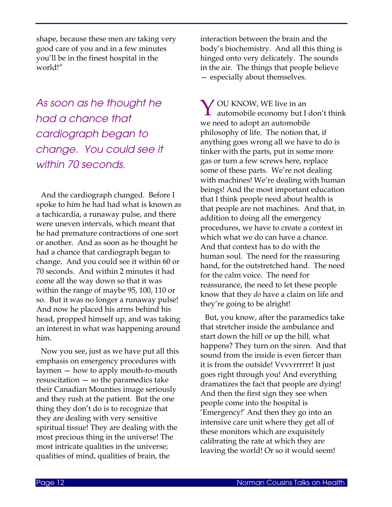shape, because these men are taking very good care of you and in a few minutes you'll be in the finest hospital in the world!"

*As soon as he thought he had a chance that cardiograph began to change. You could see it within 70 seconds.* 

And the cardiograph changed. Before I spoke to him he had had what is known as a tachicardia, a runaway pulse, and there were uneven intervals, which meant that he had premature contractions of one sort or another. And as soon as he thought he had a chance that cardiograph began to change. And you could see it within 60 or 70 seconds. And within 2 minutes it had come all the way down so that it was within the range of maybe 95, 100, 110 or so. But it was no longer a runaway pulse! And now he placed his arms behind his head, propped himself up, and was taking an interest in what was happening around him.

Now you see, just as we have put all this emphasis on emergency procedures with laymen — how to apply mouth-to-mouth resuscitation — so the paramedics take their Canadian Mounties image seriously and they rush at the patient. But the one thing they don't do is to recognize that they are dealing with very sensitive spiritual tissue! They are dealing with the most precious thing in the universe! The most intricate qualities in the universe; qualities of mind, qualities of brain, the

interaction between the brain and the body's biochemistry. And all this thing is hinged onto very delicately. The sounds in the air. The things that people believe — especially about themselves.

Y OU KNOW, WE live in an automobile economy but I automobile economy but I don't think we need to adopt an automobile philosophy of life. The notion that, if anything goes wrong all we have to do is tinker with the parts, put in some more gas or turn a few screws here, replace some of these parts. We're not dealing with machines! We're dealing with human beings! And the most important education that I think people need about health is that people are not machines. And that, in addition to doing all the emergency procedures, we have to create a context in which what we do can have a chance. And that context has to do with the human soul. The need for the reassuring hand, for the outstretched hand. The need for the calm voice. The need for reassurance, the need to let these people know that they *do* have a claim on life and they're going to be alright!

But, you know, after the paramedics take that stretcher inside the ambulance and start down the hill or up the hill, what happens? They turn on the siren. And that sound from the inside is even fiercer than it is from the outside! Vvvvrrrrrr! It just goes right through you! And everything dramatizes the fact that people are dying! And then the first sign they see when people come into the hospital is 'Emergency!' And then they go into an intensive care unit where they get all of these monitors which are exquisitely calibrating the rate at which they are leaving the world! Or so it would seem!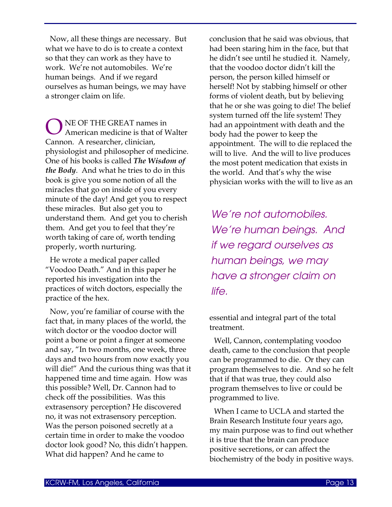Now, all these things are necessary. But what we have to do is to create a context so that they can work as they have to work. We're not automobiles. We're human beings. And if we regard ourselves as human beings, we may have a stronger claim on life.

NE OF THE GREAT names in American medicine is that of Walter Cannon. A researcher, clinician, physiologist and philosopher of medicine. One of his books is called *The Wisdom of the Body*. And what he tries to do in this book is give you some notion of all the miracles that go on inside of you every minute of the day! And get you to respect these miracles. But also get you to understand them. And get you to cherish them. And get you to feel that they're worth taking of care of, worth tending properly, worth nurturing. O

He wrote a medical paper called "Voodoo Death." And in this paper he reported his investigation into the practices of witch doctors, especially the practice of the hex.

Now, you're familiar of course with the fact that, in many places of the world, the witch doctor or the voodoo doctor will point a bone or point a finger at someone and say, "In two months, one week, three days and two hours from now exactly you will die!" And the curious thing was that it happened time and time again. How was this possible? Well, Dr. Cannon had to check off the possibilities. Was this extrasensory perception? He discovered no, it was not extrasensory perception. Was the person poisoned secretly at a certain time in order to make the voodoo doctor look good? No, this didn't happen. What did happen? And he came to

conclusion that he said was obvious, that had been staring him in the face, but that he didn't see until he studied it. Namely, that the voodoo doctor didn't kill the person, the person killed himself or herself! Not by stabbing himself or other forms of violent death, but by believing that he or she was going to die! The belief system turned off the life system! They had an appointment with death and the body had the power to keep the appointment. The will to die replaced the will to live. And the will to live produces the most potent medication that exists in the world. And that's why the wise physician works with the will to live as an

*We're not automobiles. We're human beings. And if we regard ourselves as human beings, we may have a stronger claim on life.*

essential and integral part of the total treatment.

Well, Cannon, contemplating voodoo death, came to the conclusion that people can be programmed to die. Or they can program themselves to die. And so he felt that if that was true, they could also program themselves to live or could be programmed to live.

When I came to UCLA and started the Brain Research Institute four years ago, my main purpose was to find out whether it is true that the brain can produce positive secretions, or can affect the biochemistry of the body in positive ways.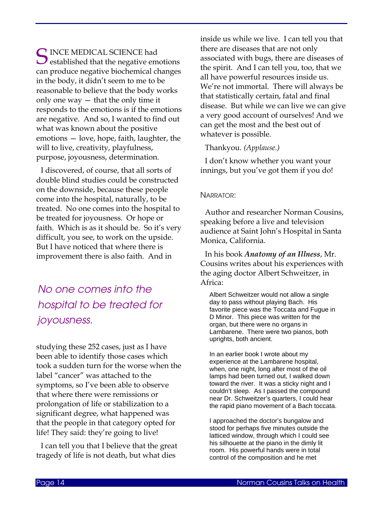**C** INCE MEDICAL SCIENCE had S INCE MEDICAL SCIENCE had<br>
established that the negative emotions can produce negative biochemical changes in the body, it didn't seem to me to be reasonable to believe that the body works only one way — that the only time it responds to the emotions is if the emotions are negative. And so, I wanted to find out what was known about the positive emotions — love, hope, faith, laughter, the will to live, creativity, playfulness, purpose, joyousness, determination.

I discovered, of course, that all sorts of double blind studies could be constructed on the downside, because these people come into the hospital, naturally, to be treated. No one comes into the hospital to be treated for joyousness. Or hope or faith. Which is as it should be. So it's very difficult, you see, to work on the upside. But I have noticed that where there is improvement there is also faith. And in

# *No one comes into the hospital to be treated for joyousness.*

studying these 252 cases, just as I have been able to identify those cases which took a sudden turn for the worse when the label "cancer" was attached to the symptoms, so I've been able to observe that where there were remissions or prolongation of life or stabilization to a significant degree, what happened was that the people in that category opted for life! They said: they're going to live!

I can tell you that I believe that the great tragedy of life is not death, but what dies

inside us while we live. I can tell you that there are diseases that are not only associated with bugs, there are diseases of the spirit. And I can tell you, too, that we all have powerful resources inside us. We're not immortal. There will always be that statistically certain, fatal and final disease. But while we can live we can give a very good account of ourselves! And we can get the most and the best out of whatever is possible.

# Thankyou. *(Applause.)*

I don't know whether you want your innings, but you've got them if you do!

# NARRATOR:

Author and researcher Norman Cousins, speaking before a live and television audience at Saint John's Hospital in Santa Monica, California.

In his book *Anatomy of an Illness*, Mr. Cousins writes about his experiences with the aging doctor Albert Schweitzer, in Africa:

Albert Schweitzer would not allow a single day to pass without playing Bach. His favorite piece was the Toccata and Fugue in D Minor. This piece was written for the organ, but there were no organs in Lambarene. There were two pianos, both uprights, both ancient.

In an earlier book I wrote about my experience at the Lambarene hospital, when, one night, long after most of the oil lamps had been turned out, I walked down toward the river. It was a sticky night and I couldn't sleep. As I passed the compound near Dr. Schweitzer's quarters, I could hear the rapid piano movement of a Bach toccata.

I approached the doctor's bungalow and stood for perhaps five minutes outside the latticed window, through which I could see his silhouette at the piano in the dimly lit room. His powerful hands were in total control of the composition and he met